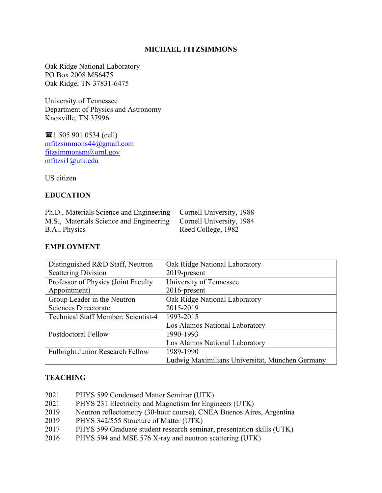## **MICHAEL FITZSIMMONS**

Oak Ridge National Laboratory PO Box 2008 MS6475 Oak Ridge, TN 37831-6475

University of Tennessee Department of Physics and Astronomy Knoxville, TN 37996

 $\mathbf{\widehat{m}}$  1 505 901 0534 (cell) mfitzsimmons44@gmail.com fitzsimmonsm@ornl.gov mfitzsi1@utk.edu

US citizen

## **EDUCATION**

Ph.D., Materials Science and Engineering Cornell University, 1988 M.S., Materials Science and Engineering Cornell University, 1984 B.A., Physics Reed College, 1982

### **EMPLOYMENT**

| Distinguished R&D Staff, Neutron        | Oak Ridge National Laboratory                   |
|-----------------------------------------|-------------------------------------------------|
| <b>Scattering Division</b>              | 2019-present                                    |
| Professor of Physics (Joint Faculty     | University of Tennessee                         |
| Appointment)                            | $2016$ -present                                 |
| Group Leader in the Neutron             | Oak Ridge National Laboratory                   |
| <b>Sciences Directorate</b>             | 2015-2019                                       |
| Technical Staff Member; Scientist-4     | 1993-2015                                       |
|                                         | Los Alamos National Laboratory                  |
| <b>Postdoctoral Fellow</b>              | 1990-1993                                       |
|                                         | Los Alamos National Laboratory                  |
| <b>Fulbright Junior Research Fellow</b> | 1989-1990                                       |
|                                         | Ludwig Maximilians Universität, München Germany |

### **TEACHING**

- 2021 PHYS 599 Condensed Matter Seminar (UTK)
- 2021 PHYS 231 Electricity and Magnetism for Engineers (UTK)
- 2019 Neutron reflectometry (30-hour course), CNEA Buenos Aires, Argentina
- 2019 PHYS 342/555 Structure of Matter (UTK)
- 2017 PHYS 599 Graduate student research seminar, presentation skills (UTK)
- 2016 PHYS 594 and MSE 576 X-ray and neutron scattering (UTK)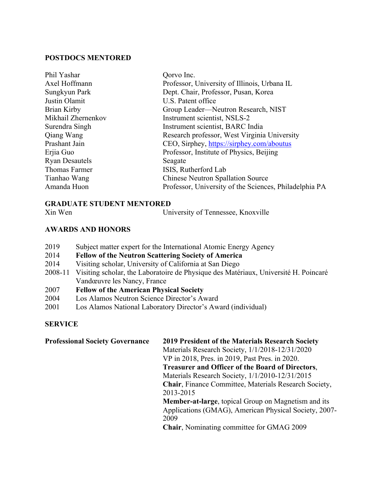### **POSTDOCS MENTORED**

| Phil Yashar           | Qorvo Inc.                                             |
|-----------------------|--------------------------------------------------------|
| Axel Hoffmann         | Professor, University of Illinois, Urbana IL           |
| Sungkyun Park         | Dept. Chair, Professor, Pusan, Korea                   |
| Justin Olamit         | U.S. Patent office                                     |
| Brian Kirby           | Group Leader—Neutron Research, NIST                    |
| Mikhail Zhernenkov    | Instrument scientist, NSLS-2                           |
| Surendra Singh        | Instrument scientist, BARC India                       |
| Qiang Wang            | Research professor, West Virginia University           |
| Prashant Jain         | CEO, Sirphey, https://sirphey.com/aboutus              |
| Erjia Guo             | Professor, Institute of Physics, Beijing               |
| <b>Ryan Desautels</b> | Seagate                                                |
| <b>Thomas Farmer</b>  | ISIS, Rutherford Lab                                   |
| Tianhao Wang          | <b>Chinese Neutron Spallation Source</b>               |
| Amanda Huon           | Professor, University of the Sciences, Philadelphia PA |
|                       |                                                        |

## **GRADUATE STUDENT MENTORED**

Xin Wen University of Tennessee, Knoxville

# **AWARDS AND HONORS**

- 2019 Subject matter expert for the International Atomic Energy Agency
- 2014 **Fellow of the Neutron Scattering Society of America**
- 2014 Visiting scholar, University of California at San Diego
- 2008-11 Visiting scholar, the Laboratoire de Physique des Matériaux, Université H. Poincaré Vandœuvre les Nancy, France
- 2007 **Fellow of the American Physical Society**
- 2004 Los Alamos Neutron Science Director's Award
- 2001 Los Alamos National Laboratory Director's Award (individual)

# **SERVICE**

| <b>Professional Society Governance</b> | 2019 President of the Materials Research Society           |
|----------------------------------------|------------------------------------------------------------|
|                                        | Materials Research Society, 1/1/2018-12/31/2020            |
|                                        | VP in 2018, Pres. in 2019, Past Pres. in 2020.             |
|                                        | <b>Treasurer and Officer of the Board of Directors,</b>    |
|                                        | Materials Research Society, 1/1/2010-12/31/2015            |
|                                        | Chair, Finance Committee, Materials Research Society,      |
|                                        | 2013-2015                                                  |
|                                        | <b>Member-at-large, topical Group on Magnetism and its</b> |
|                                        | Applications (GMAG), American Physical Society, 2007-      |
|                                        | 2009                                                       |
|                                        | <b>Chair, Nominating committee for GMAG 2009</b>           |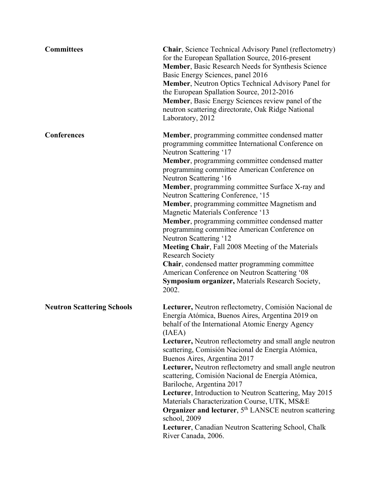| <b>Committees</b>                 | <b>Chair</b> , Science Technical Advisory Panel (reflectometry)<br>for the European Spallation Source, 2016-present<br>Member, Basic Research Needs for Synthesis Science<br>Basic Energy Sciences, panel 2016<br>Member, Neutron Optics Technical Advisory Panel for<br>the European Spallation Source, 2012-2016<br>Member, Basic Energy Sciences review panel of the<br>neutron scattering directorate, Oak Ridge National<br>Laboratory, 2012                                                                                                                                                                                                                                                                                                                                                                                         |
|-----------------------------------|-------------------------------------------------------------------------------------------------------------------------------------------------------------------------------------------------------------------------------------------------------------------------------------------------------------------------------------------------------------------------------------------------------------------------------------------------------------------------------------------------------------------------------------------------------------------------------------------------------------------------------------------------------------------------------------------------------------------------------------------------------------------------------------------------------------------------------------------|
| <b>Conferences</b>                | Member, programming committee condensed matter<br>programming committee International Conference on<br>Neutron Scattering '17<br><b>Member</b> , programming committee condensed matter<br>programming committee American Conference on<br>Neutron Scattering '16<br><b>Member</b> , programming committee Surface X-ray and<br>Neutron Scattering Conference, '15<br>Member, programming committee Magnetism and<br>Magnetic Materials Conference '13<br><b>Member</b> , programming committee condensed matter<br>programming committee American Conference on<br>Neutron Scattering '12<br>Meeting Chair, Fall 2008 Meeting of the Materials<br><b>Research Society</b><br>Chair, condensed matter programming committee<br>American Conference on Neutron Scattering '08<br>Symposium organizer, Materials Research Society,<br>2002. |
| <b>Neutron Scattering Schools</b> | Lecturer, Neutron reflectometry, Comisión Nacional de<br>Energía Atómica, Buenos Aires, Argentina 2019 on<br>behalf of the International Atomic Energy Agency<br>(IAEA)<br>Lecturer, Neutron reflectometry and small angle neutron<br>scattering, Comisión Nacional de Energía Atómica,<br>Buenos Aires, Argentina 2017<br>Lecturer, Neutron reflectometry and small angle neutron<br>scattering, Comisión Nacional de Energía Atómica,<br>Bariloche, Argentina 2017<br>Lecturer, Introduction to Neutron Scattering, May 2015<br>Materials Characterization Course, UTK, MS&E<br>Organizer and lecturer, 5 <sup>th</sup> LANSCE neutron scattering<br>school, 2009<br>Lecturer, Canadian Neutron Scattering School, Chalk<br>River Canada, 2006.                                                                                         |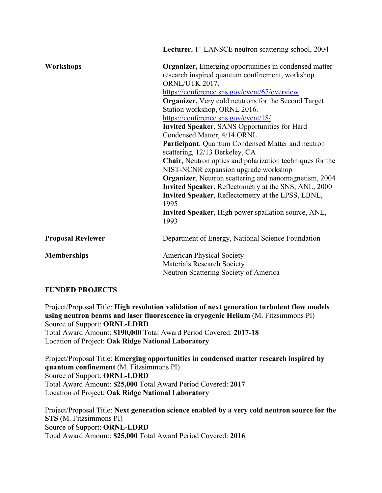|                          | Lecturer, 1 <sup>st</sup> LANSCE neutron scattering school, 2004 |
|--------------------------|------------------------------------------------------------------|
| Workshops                | Organizer, Emerging opportunities in condensed matter            |
|                          | research inspired quantum confinement, workshop                  |
|                          | ORNL/UTK 2017.                                                   |
|                          | https://conference.sns.gov/event/67/overview                     |
|                          | Organizer, Very cold neutrons for the Second Target              |
|                          | Station workshop, ORNL 2016.                                     |
|                          | https://conference.sns.gov/event/18/                             |
|                          | <b>Invited Speaker, SANS Opportunities for Hard</b>              |
|                          | Condensed Matter, 4/14 ORNL.                                     |
|                          | Participant, Quantum Condensed Matter and neutron                |
|                          | scattering, 12/13 Berkeley, CA                                   |
|                          | Chair, Neutron optics and polarization techniques for the        |
|                          | NIST-NCNR expansion upgrade workshop                             |
|                          | <b>Organizer</b> , Neutron scattering and nanomagnetism, 2004    |
|                          | Invited Speaker, Reflectometry at the SNS, ANL, 2000             |
|                          | Invited Speaker, Reflectometry at the LPSS, LBNL,<br>1995        |
|                          | Invited Speaker, High power spallation source, ANL,              |
|                          | 1993                                                             |
| <b>Proposal Reviewer</b> | Department of Energy, National Science Foundation                |
| <b>Memberships</b>       | <b>American Physical Society</b>                                 |
|                          | <b>Materials Research Society</b>                                |
|                          | Neutron Scattering Society of America                            |
|                          |                                                                  |

# **FUNDED PROJECTS**

Project/Proposal Title: **High resolution validation of next generation turbulent flow models using neutron beams and laser fluorescence in cryogenic Helium** (M. Fitzsimmons PI) Source of Support: **ORNL-LDRD** Total Award Amount: **\$190,000** Total Award Period Covered: **2017-18** Location of Project: **Oak Ridge National Laboratory**

Project/Proposal Title: **Emerging opportunities in condensed matter research inspired by quantum confinement** (M. Fitzsimmons PI) Source of Support: **ORNL-LDRD** Total Award Amount: **\$25,000** Total Award Period Covered: **2017** Location of Project: **Oak Ridge National Laboratory**

Project/Proposal Title: **Next generation science enabled by a very cold neutron source for the STS** (M. Fitzsimmons PI) Source of Support: **ORNL-LDRD** Total Award Amount: **\$25,000** Total Award Period Covered: **2016**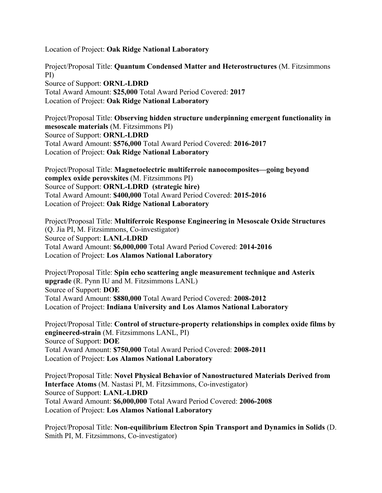Location of Project: **Oak Ridge National Laboratory**

Project/Proposal Title: **Quantum Condensed Matter and Heterostructures** (M. Fitzsimmons PI) Source of Support: **ORNL-LDRD** Total Award Amount: **\$25,000** Total Award Period Covered: **2017** Location of Project: **Oak Ridge National Laboratory**

Project/Proposal Title: **Observing hidden structure underpinning emergent functionality in mesoscale materials** (M. Fitzsimmons PI) Source of Support: **ORNL-LDRD** Total Award Amount: **\$576,000** Total Award Period Covered: **2016-2017** Location of Project: **Oak Ridge National Laboratory**

Project/Proposal Title: **Magnetoelectric multiferroic nanocomposites—going beyond complex oxide perovskites** (M. Fitzsimmons PI) Source of Support: **ORNL-LDRD (strategic hire)** Total Award Amount: **\$400,000** Total Award Period Covered: **2015-2016** Location of Project: **Oak Ridge National Laboratory**

Project/Proposal Title: **Multiferroic Response Engineering in Mesoscale Oxide Structures** (Q. Jia PI, M. Fitzsimmons, Co-investigator) Source of Support: **LANL-LDRD** Total Award Amount: **\$6,000,000** Total Award Period Covered: **2014-2016** Location of Project: **Los Alamos National Laboratory**

Project/Proposal Title: **Spin echo scattering angle measurement technique and Asterix upgrade** (R. Pynn IU and M. Fitzsimmons LANL) Source of Support: **DOE**  Total Award Amount: **\$880,000** Total Award Period Covered: **2008-2012**  Location of Project: **Indiana University and Los Alamos National Laboratory**

Project/Proposal Title: **Control of structure-property relationships in complex oxide films by engineered-strain** (M. Fitzsimmons LANL, PI) Source of Support: **DOE**  Total Award Amount: **\$750,000** Total Award Period Covered: **2008-2011** Location of Project: **Los Alamos National Laboratory**

Project/Proposal Title: **Novel Physical Behavior of Nanostructured Materials Derived from Interface Atoms** (M. Nastasi PI, M. Fitzsimmons, Co-investigator) Source of Support: **LANL-LDRD** Total Award Amount: **\$6,000,000** Total Award Period Covered: **2006-2008** Location of Project: **Los Alamos National Laboratory**

Project/Proposal Title: **Non-equilibrium Electron Spin Transport and Dynamics in Solids** (D. Smith PI, M. Fitzsimmons, Co-investigator)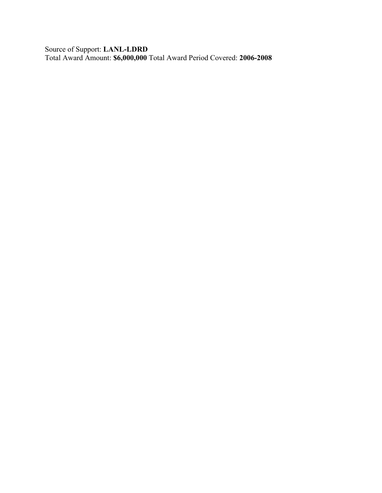Source of Support: **LANL-LDRD** Total Award Amount: **\$6,000,000** Total Award Period Covered: **2006-2008**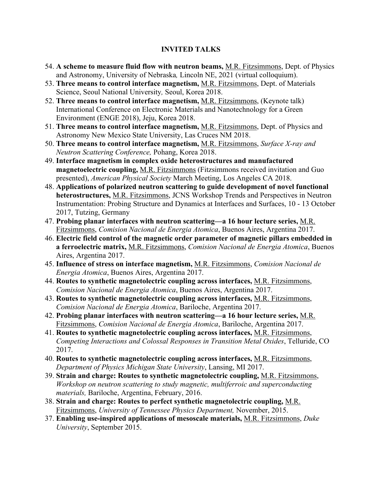# **INVITED TALKS**

- 54. **A scheme to measure fluid flow with neutron beams,** M.R. Fitzsimmons, Dept. of Physics and Astronomy, University of Nebraska*,* Lincoln NE, 2021 (virtual colloquium).
- 53. **Three means to control interface magnetism,** M.R. Fitzsimmons, Dept. of Materials Science, Seoul National University*,* Seoul, Korea 2018.
- 52. **Three means to control interface magnetism,** M.R. Fitzsimmons, (Keynote talk) International Conference on Electronic Materials and Nanotechnology for a Green Environment (ENGE 2018), Jeju, Korea 2018.
- 51. **Three means to control interface magnetism,** M.R. Fitzsimmons, Dept. of Physics and Astronomy New Mexico State University, Las Cruces NM 2018.
- 50. **Three means to control interface magnetism,** M.R. Fitzsimmons, *Surface X-ray and Neutron Scattering Conference,* Pohang, Korea 2018.
- 49. **Interface magnetism in complex oxide heterostructures and manufactured magnetoelectric coupling,** M.R. Fitzsimmons (Fitzsimmons received invitation and Guo presented), *American Physical Society* March Meeting, Los Angeles CA 2018.
- 48. **Applications of polarized neutron scattering to guide development of novel functional heterostructures,** M.R. Fitzsimmons, JCNS Workshop Trends and Perspectives in Neutron Instrumentation: Probing Structure and Dynamics at Interfaces and Surfaces, 10 - 13 October 2017, Tutzing, Germany
- 47. **Probing planar interfaces with neutron scattering—a 16 hour lecture series,** M.R. Fitzsimmons, *Comision Nacional de Energia Atomica*, Buenos Aires, Argentina 2017.
- 46. **Electric field control of the magnetic order parameter of magnetic pillars embedded in a ferroelectric matrix,** M.R. Fitzsimmons, *Comision Nacional de Energia Atomica*, Buenos Aires, Argentina 2017.
- 45. **Influence of stress on interface magnetism,** M.R. Fitzsimmons, *Comision Nacional de Energia Atomica*, Buenos Aires, Argentina 2017.
- 44. **Routes to synthetic magnetolectric coupling across interfaces,** M.R. Fitzsimmons, *Comision Nacional de Energia Atomica*, Buenos Aires, Argentina 2017.
- 43. **Routes to synthetic magnetolectric coupling across interfaces,** M.R. Fitzsimmons, *Comision Nacional de Energia Atomica*, Bariloche, Argentina 2017.
- 42. **Probing planar interfaces with neutron scattering—a 16 hour lecture series,** M.R. Fitzsimmons, *Comision Nacional de Energia Atomica*, Bariloche, Argentina 2017.
- 41. **Routes to synthetic magnetolectric coupling across interfaces,** M.R. Fitzsimmons, *Competing Interactions and Colossal Responses in Transition Metal Oxides*, Telluride, CO 2017.
- 40. **Routes to synthetic magnetolectric coupling across interfaces,** M.R. Fitzsimmons, *Department of Physics Michigan State University*, Lansing, MI 2017.
- 39. **Strain and charge: Routes to synthetic magnetolectric coupling,** M.R. Fitzsimmons, *Workshop on neutron scattering to study magnetic, multiferroic and superconducting materials,* Bariloche, Argentina, February, 2016.
- 38. **Strain and charge: Routes to perfect synthetic magnetolectric coupling,** M.R. Fitzsimmons, *University of Tennessee Physics Department,* November, 2015.
- 37. **Enabling use-inspired applications of mesoscale materials,** M.R. Fitzsimmons, *Duke University*, September 2015.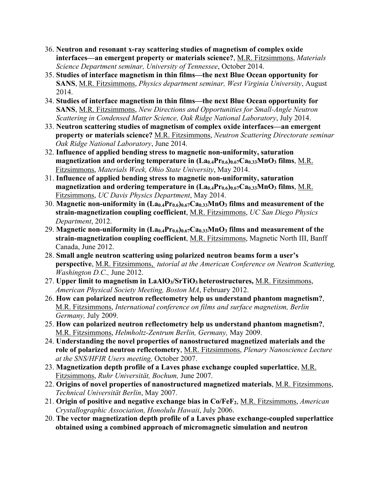- 36. **Neutron and resonant x-ray scattering studies of magnetism of complex oxide interfaces—an emergent property or materials science?**, M.R. Fitzsimmons, *Materials Science Department seminar, University of Tennessee*, October 2014.
- 35. **Studies of interface magnetism in thin films—the next Blue Ocean opportunity for SANS**, M.R. Fitzsimmons, *Physics department seminar, West Virginia University*, August 2014.
- 34. **Studies of interface magnetism in thin films—the next Blue Ocean opportunity for SANS**, M.R. Fitzsimmons, *New Directions and Opportunities for Small-Angle Neutron Scattering in Condensed Matter Science, Oak Ridge National Laboratory*, July 2014.
- 33. **Neutron scattering studies of magnetism of complex oxide interfaces—an emergent property or materials science?** M.R. Fitzsimmons, *Neutron Scattering Directorate seminar Oak Ridge National Laboratory*, June 2014.
- 32. **Influence of applied bending stress to magnetic non-uniformity, saturation magnetization and ordering temperature in (La0.4Pr0.6)0.67Ca0.33MnO3 films**, M.R. Fitzsimmons, *Materials Week, Ohio State University*, May 2014.
- 31. **Influence of applied bending stress to magnetic non-uniformity, saturation magnetization and ordering temperature in**  $(La_{0.4}Pr_{0.6})_{0.67}Ca_{0.33}MnO_3$  **films, M.R.** Fitzsimmons, *UC Davis Physics Department*, May 2014.
- 30. **Magnetic non-uniformity in (La0.4Pr0.6)0.67Ca0.33MnO3 films and measurement of the strain-magnetization coupling coefficient**, M.R. Fitzsimmons, *UC San Diego Physics Department*, 2012.
- 29. **Magnetic non-uniformity in (La0.4Pr0.6)0.67Ca0.33MnO3 films and measurement of the strain-magnetization coupling coefficient**, M.R. Fitzsimmons, Magnetic North III, Banff Canada, June 2012.
- 28. **Small angle neutron scattering using polarized neutron beams form a user's perspective**, M.R. Fitzsimmons, *tutorial at the American Conference on Neutron Scattering, Washington D.C.,* June 2012.
- 27. **Upper limit to magnetism in LaAlO3/SrTiO3 heterostructures,** M.R. Fitzsimmons, *American Physical Society Meeting, Boston MA*, February 2012.
- 26. **How can polarized neutron reflectometry help us understand phantom magnetism?**, M.R. Fitzsimmons, *International conference on films and surface magnetism, Berlin Germany,* July 2009.
- 25. **How can polarized neutron reflectometry help us understand phantom magnetism?**, M.R. Fitzsimmons, *Helmholtz-Zentrum Berlin, Germany,* May 2009.
- 24. **Understanding the novel properties of nanostructured magnetized materials and the role of polarized neutron reflectometry**, M.R. Fitzsimmons, *Plenary Nanoscience Lecture at the SNS/HFIR Users meeting,* October 2007.
- 23. **Magnetization depth profile of a Laves phase exchange coupled superlattice**, M.R. Fitzsimmons, *Ruhr Universität, Bochum,* June 2007.
- 22. **Origins of novel properties of nanostructured magnetized materials**, M.R. Fitzsimmons, *Technical Universität Berlin*, May 2007.
- 21. **Origin of positive and negative exchange bias in Co/FeF2**, M.R. Fitzsimmons, *American Crystallographic Association, Honolulu Hawaii*, July 2006.
- 20. **The vector magnetization depth profile of a Laves phase exchange-coupled superlattice obtained using a combined approach of micromagnetic simulation and neutron**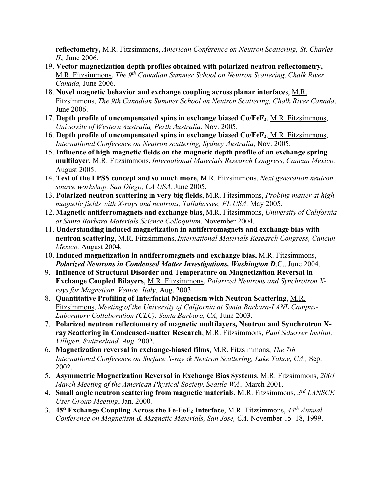**reflectometry,** M.R. Fitzsimmons, *American Conference on Neutron Scattering, St. Charles IL,* June 2006.

- 19. **Vector magnetization depth profiles obtained with polarized neutron reflectometry,** M.R. Fitzsimmons, *The 9th Canadian Summer School on Neutron Scattering, Chalk River Canada,* June 2006.
- 18. **Novel magnetic behavior and exchange coupling across planar interfaces**, M.R. Fitzsimmons, *The 9th Canadian Summer School on Neutron Scattering, Chalk River Canada*, June 2006.
- 17. **Depth profile of uncompensated spins in exchange biased Co/FeF2**, M.R. Fitzsimmons, *University of Western Australia, Perth Australia,* Nov. 2005.
- 16. **Depth profile of uncompensated spins in exchange biased Co/FeF2**, M.R. Fitzsimmons, *International Conference on Neutron scattering, Sydney Australia,* Nov. 2005.
- 15. **Influence of high magnetic fields on the magnetic depth profile of an exchange spring multilayer**, M.R. Fitzsimmons, *International Materials Research Congress, Cancun Mexico,* August 2005.
- 14. **Test of the LPSS concept and so much more**, M.R. Fitzsimmons, *Next generation neutron source workshop, San Diego, CA USA,* June 2005.
- 13. **Polarized neutron scattering in very big fields**, M.R. Fitzsimmons, *Probing matter at high magnetic fields with X-rays and neutrons, Tallahassee, FL USA,* May 2005.
- 12. **Magnetic antiferromagnets and exchange bias**, M.R. Fitzsimmons, *University of California at Santa Barbara Materials Science Colloquium,* November 2004.
- 11. **Understanding induced magnetization in antiferromagnets and exchange bias with neutron scattering**, M.R. Fitzsimmons, *International Materials Research Congress, Cancun Mexico,* August 2004.
- 10. **Induced magnetization in antiferromagnets and exchange bias,** M.R. Fitzsimmons, *Polarized Neutrons in Condensed Matter Investigations, Washington D*.C., June 2004.
- 9. **Influence of Structural Disorder and Temperature on Magnetization Reversal in Exchange Coupled Bilayers**, M.R. Fitzsimmons, *Polarized Neutrons and Synchrotron Xrays for Magnetism, Venice, Italy,* Aug. 2003.
- 8. **Quantitative Profiling of Interfacial Magnetism with Neutron Scattering**, M.R. Fitzsimmons, *Meeting of the University of California at Santa Barbara-LANL Campus-Laboratory Collaboration (CLC), Santa Barbara, CA,* June 2003.
- 7. **Polarized neutron reflectometry of magnetic multilayers, Neutron and Synchrotron Xray Scattering in Condensed-matter Research**, M.R. Fitzsimmons, *Paul Scherrer Institut, Villigen, Switzerland, Aug*. 2002.
- 6. **Magnetization reversal in exchange-biased films**, M.R. Fitzsimmons, *The 7th International Conference on Surface X-ray & Neutron Scattering, Lake Tahoe, CA.,* Sep. 2002.
- 5. **Asymmetric Magnetization Reversal in Exchange Bias Systems**, M.R. Fitzsimmons, *2001 March Meeting of the American Physical Society, Seattle WA.,* March 2001.
- 4. **Small angle neutron scattering from magnetic materials**, M.R. Fitzsimmons, *3rd LANSCE User Group Meeting*, Jan. 2000.
- 3. **45° Exchange Coupling Across the Fe-FeF2 Interface**, M.R. Fitzsimmons, *44th Annual Conference on Magnetism & Magnetic Materials, San Jose, CA,* November 15–18, 1999.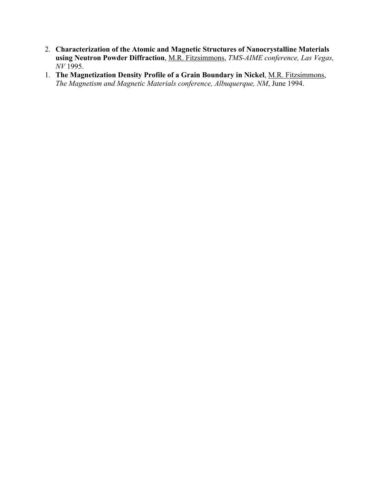- 2. **Characterization of the Atomic and Magnetic Structures of Nanocrystalline Materials using Neutron Powder Diffraction**, M.R. Fitzsimmons, *TMS-AIME conference, Las Vegas, NV* 1995.
- 1. **The Magnetization Density Profile of a Grain Boundary in Nickel**, M.R. Fitzsimmons, *The Magnetism and Magnetic Materials conference, Albuquerque, NM*, June 1994.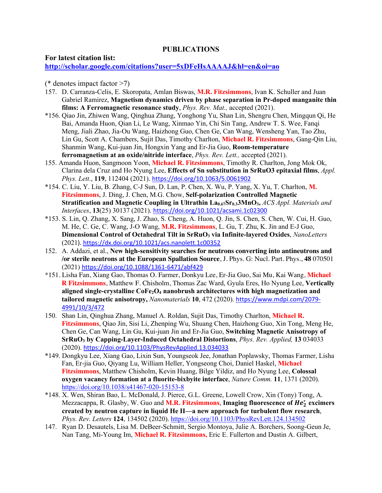### **PUBLICATIONS**

### **For latest citation list:**

## **http://scholar.google.com/citations?user=5xDFeHsAAAAJ&hl=en&oi=ao**

(\* denotes impact factor >7)

- 157. D. Carranza-Celis, E. Skoropata, Amlan Biswas, **M.R. Fitzsimmons**, Ivan K. Schuller and Juan Gabriel Ramirez, **Magnetism dynamics driven by phase separation in Pr-doped manganite thin films: A Ferromagnetic resonance study**, *Phys. Rev. Mat.,* accepted (2021).
- \*156. Qiao Jin, Zhiwen Wang, Qinghua Zhang, Yonghong Yu, Shan Lin, Shengru Chen, Mingqun Qi, He Bai, Amanda Huon, Qian Li, Le Wang, Xinmao Yin, Chi Sin Tang, Andrew T. S. Wee, Fanqi Meng, Jiali Zhao, Jia-Ou Wang, Haizhong Guo, Chen Ge, Can Wang, Wensheng Yan, Tao Zhu, Lin Gu, Scott A. Chambers, Sujit Das, Timothy Charlton, **Michael R. Fitzsimmons**, Gang-Qin Liu, Shanmin Wang, Kui-juan Jin, Hongxin Yang and Er-Jia Guo, **Room-temperature ferromagnetism at an oxide/nitride interface**, *Phys. Rev. Lett.,* accepted (2021).
- 155. Amanda Huon, Sangmoon Yoon, **Michael R. Fitzsimmons**, Timothy R. Charlton, Jong Mok Ok, Clarina dela Cruz and Ho Nyung Lee, **Effects of Sn substitution in SrRuO3 epitaxial films**, *Appl. Phys. Lett*., **119**, 112404 (2021). https://doi.org/10.1063/5.0061902
- \*154. C. Liu, Y. Liu, B. Zhang, C-J Sun, D. Lan, P. Chen, X. Wu, P. Yang, X. Yu, T. Charlton, **M. Fitzsimmons**, J. Ding, J. Chen, M.G. Chow, **Self-polarization Controlled Magnetic Stratification and Magnetic Coupling in Ultrathin La0.67Sr0.33MnO3,** *ACS Appl. Materials and Interfaces*, **13**(25) 30137 (2021). https://doi.org/10.1021/acsami.1c02300
- \*153. S. Lin, Q. Zhang, X. Sang, J. Zhao, S. Cheng, A. Huon, Q. Jin, S. Chen, S. Chen, W. Cui, H. Guo, M. He, C. Ge, C. Wang, J-O Wang, **M.R. Fitzsimmons**, L. Gu, T. Zhu, K. Jin and E-J Guo, **Dimensional Control of Octahedral Tilt in SrRuO3 via Infinite-layered Oxides**, *NanoLetters* (2021). https://dx.doi.org/10.1021/acs.nanolett.1c00352
- 152. A. Addazi, et al., **New high-sensitivity searches for neutrons converting into antineutrons and /or sterile neutrons at the European Spallation Source**, J. Phys. G: Nucl. Part. Phys., **48** 070501 (2021) https://doi.org/10.1088/1361-6471/abf429
- \*151. Lisha Fan, Xiang Gao, Thomas O. Farmer, Donkyu Lee, Er-Jia Guo, Sai Mu, Kai Wang, **Michael R Fitzsimmons**, Matthew F. Chisholm, Thomas Zac Ward, Gyula Eres, Ho Nyung Lee, **Vertically aligned single-crystalline CoFe2O4 nanobrush architectures with high magnetization and tailored magnetic anisotropy,** *Nanomaterials* **10**, 472 (2020). https://www.mdpi.com/2079- 4991/10/3/472
- 150. Shan Lin, Qinghua Zhang, Manuel A. Roldan, Sujit Das, Timothy Charlton, **Michael R. Fitzsimmons**, Qiao Jin, Sisi Li, Zhenping Wu, Shuang Chen, Haizhong Guo, Xin Tong, Meng He, Chen Ge, Can Wang, Lin Gu, Kui-juan Jin and Er-Jia Guo, **Switching Magnetic Anisotropy of SrRuO3 by Capping-Layer-Induced Octahedral Distortions**, *Phys. Rev. Applied,* **13** 034033 (2020). https://doi.org/10.1103/PhysRevApplied.13.034033
- \*149. Dongkyu Lee, Xiang Gao, Lixin Sun, Youngseok Jee, Jonathan Poplawsky, Thomas Farmer, Lisha Fan, Er-jia Guo, Qiyang Lu, William Heller, Yongseong Choi, Daniel Haskel, **Michael Fitzsimmons**, Matthew Chisholm, Kevin Huang, Bilge Yildiz, and Ho Nyung Lee, **Colossal oxygen vacancy formation at a fluorite-bixbyite interface**, *Nature Comm.* **11**, 1371 (2020). https://doi.org/10.1038/s41467-020-15153-8
- \*148. X. Wen, Shiran Bao, L. McDonald, J. Pierce, G.L. Greene, Lowell Crow, Xin (Tony) Tong, A. Mezzacappa, R. Glasby, W. Guo and M.R. Fitzsimmons, Imaging fluorescence of  $He_2^*$  excimers **created by neutron capture in liquid He II—a new approach for turbulent flow research**, *Phys. Rev. Letters* **124**, 134502 (2020). https://doi.org/10.1103/PhysRevLett.124.134502
- 147. Ryan D. Desautels, Lisa M. DeBeer-Schmitt, Sergio Montoya, Julie A. Borchers, Soong-Geun Je, Nan Tang, Mi-Young Im, **Michael R. Fitzsimmons,** Eric E. Fullerton and Dustin A. Gilbert,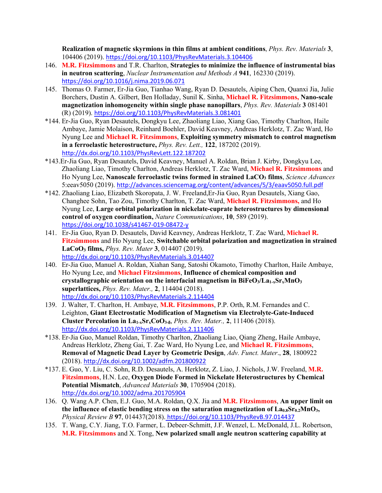**Realization of magnetic skyrmions in thin films at ambient conditions**, *Phys. Rev. Materials* **3**, 104406 (2019). https://doi.org/10.1103/PhysRevMaterials.3.104406

- 146. **M.R. Fitzsimmons** and T.R. Charlton, **Strategies to minimize the influence of instrumental bias in neutron scattering**, *Nuclear Instrumentation and Methods A* **941**, 162330 (2019). https://doi.org/10.1016/j.nima.2019.06.071
- 145. Thomas O. Farmer, Er-Jia Guo, Tianhao Wang, Ryan D. Desautels, Aiping Chen, Quanxi Jia, Julie Borchers, Dustin A. Gilbert, Ben Holladay, Sunil K. Sinha, **Michael R. Fitzsimmons, Nano-scale magnetization inhomogeneity within single phase nanopillars**, *Phys. Rev. Materials* **3** 081401 (R) (2019). https://doi.org/10.1103/PhysRevMaterials.3.081401
- \*144. Er-Jia Guo, Ryan Desautels, Dongkyu Lee, Zhaoliang Liao, Xiang Gao, Timothy Charlton, Haile Ambaye, Jamie Molaison, Reinhard Boehler, David Keavney, Andreas Herklotz, T. Zac Ward, Ho Nyung Lee and **Michael R. Fitzsimmons**, **Exploiting symmetry mismatch to control magnetism in a ferroelastic heterostructure,** *Phys. Rev. Lett.,* **122**, 187202 (2019). http://dx.doi.org/10.1103/PhysRevLett.122.187202
- \*143.Er-Jia Guo, Ryan Desautels, David Keavney, Manuel A. Roldan, Brian J. Kirby, Dongkyu Lee, Zhaoliang Liao, Timothy Charlton, Andreas Herklotz, T. Zac Ward, **Michael R. Fitzsimmons** and Ho Nyung Lee, **Nanoscale ferroelastic twins formed in strained LaCO3 films**, *Science Advances* 5:eeav5050 (2019). http://advances.sciencemag.org/content/advances/5/3/eaav5050.full.pdf
- \*142. Zhaoliang Liao, Elizabeth Skoropata, J. W. Freeland,Er-Jia Guo, Ryan Desautels, Xiang Gao, Changhee Sohn, Tao Zou, Timothy Charlton, T. Zac Ward, **Michael R. Fitzsimmons,** and Ho Nyung Lee, **Large orbital polarization in nickelate-cuprate heterostructures by dimensional control of oxygen coordination,** *Nature Communications*, **10**, 589 (2019). https://doi.org/10.1038/s41467-019-08472-y
- 141. Er-Jia Guo, Ryan D. Desautels, David Keavney, Andreas Herklotz, T. Zac Ward, **Michael R. Fitzsimmons** and Ho Nyung Lee, **Switchable orbital polarization and magnetization in strained LaCoO3 films,** *Phys. Rev. Mater* **3**, 014407 (2019). http://dx.doi.org/10.1103/PhysRevMaterials.3.014407
- 140. Er-Jia Guo, Manuel A. Roldan, Xiahan Sang, Satoshi Okamoto, Timothy Charlton, Haile Ambaye, Ho Nyung Lee, and **Michael Fitzsimmons**, **Influence of chemical composition and**  crystallographic orientation on the interfacial magnetism in  $BifeO<sub>3</sub>/La<sub>1-x</sub>Sr<sub>x</sub>MnO<sub>3</sub>$ **superlattices,** *Phys. Rev. Mater.,* **2**, 114404 (2018). http://dx.doi.org/10.1103/PhysRevMaterials.2.114404
- 139. J. Walter, T. Charlton, H. Ambaye, **M.R. Fitzsimmons**, P.P. Orth, R.M. Fernandes and C. Leighton, **Giant Electrostatic Modification of Magnetism via Electrolyte-Gate-Induced Cluster Percolation in La<sub>1-x</sub>Sr<sub>x</sub>CoO<sub>3-δ</sub>**, *Phys. Rev. Mater.*, **2**, 111406 (2018). http://dx.doi.org/10.1103/PhysRevMaterials.2.111406
- \*138. Er-Jia Guo, Manuel Roldan, Timothy Charlton, Zhaoliang Liao, Qiang Zheng, Haile Ambaye, Andreas Herklotz, Zheng Gai, T. Zac Ward, Ho Nyung Lee, and **Michael R. Fitzsimmons**, **Removal of Magnetic Dead Layer by Geometric Design**, *Adv. Funct. Mater*., **28**, 1800922 (2018). http://dx.doi.org/10.1002/adfm.201800922
- \*137. E. Guo, Y. Liu, C. Sohn, R.D. Desautels, A. Herklotz, Z. Liao, J. Nichols, J.W. Freeland, **M.R. Fitzsimmons**, H.N. Lee, **Oxygen Diode Formed in Nickelate Heterostructures by Chemical Potential Mismatch**, *Advanced Materials* **30**, 1705904 (2018). http://dx.doi.org/10.1002/adma.201705904
- 136. Q. Wang A.P. Chen, E.J. Guo, M.A. Roldan, Q.X. Jia and **M.R. Fitzsimmons**, **An upper limit on**  the influence of elastic bending stress on the saturation magnetization of La<sub>0.8</sub>Sr<sub>0.2</sub>MnO<sub>3</sub>, *Physical Review B* **97**, 014437(2018). https://doi.org/10.1103/PhysRevB.97.014437
- 135. T. Wang, C.Y. Jiang, T.O. Farmer, L. Debeer-Schmitt, J.F. Wenzel, L. McDonald, J.L. Robertson, **M.R. Fitzsimmons** and X. Tong, **New polarized small angle neutron scattering capability at**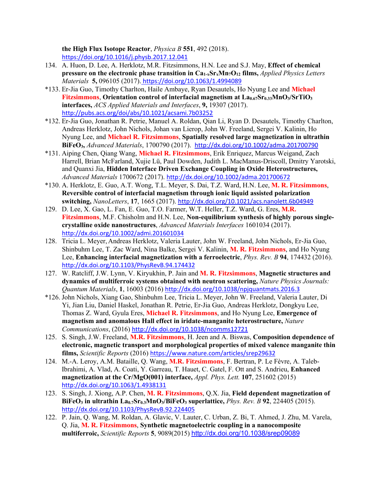**the High Flux Isotope Reactor**, *Physica B* **551**, 492 (2018). https://doi.org/10.1016/j.physb.2017.12.041

- 134. A. Huon, D. Lee, A. Herklotz, M.R. Fitzsimmons, H.N. Lee and S.J. May, **Effect of chemical pressure on the electronic phase transition in Ca1-xSrxMn7O12 films,** *Applied Physics Letters Materials* **5,** 096105 (2017). https://doi.org/10.1063/1.4994089
- \*133. Er-Jia Guo, Timothy Charlton, Haile Ambaye, Ryan Desautels, Ho Nyung Lee and **Michael Fitzsimmons**, Orientation control of interfacial magnetism at  $La_{0.67}Sr_{0.33}MnO_3/SrTiO_3$ **interfaces,** *ACS Applied Materials and Interfaces*, **9,** 19307 (2017). http://pubs.acs.org/doi/abs/10.1021/acsami.7b03252
- \*132. Er-Jia Guo, Jonathan R. Petrie, Manuel A. Roldan, Qian Li, Ryan D. Desautels, Timothy Charlton, Andreas Herklotz, John Nichols, Johan van Lierop, John W. Freeland, Sergei V. Kalinin, Ho Nyung Lee, and **Michael R. Fitzsimmons**, **Spatially resolved large magnetization in ultrathin BiFeO3,** *Advanced Materials*, 1700790 (2017). http://dx.doi.org/10.1002/adma.201700790
- \*131. Aiping Chen, Qiang Wang, **Michael R. Fitzsimmons**, Erik Enriquez, Marcus Weigand, Zach Harrell, Brian McFarland, Xujie Lü, Paul Dowden, Judith L. MacManus-Driscoll, Dmitry Yarotski, and Quanxi Jia, **Hidden Interface Driven Exchange Coupling in Oxide Heterostructures,** *Advanced Materials* 1700672 (2017). http://dx.doi.org/10.1002/adma.201700672
- \*130. A. Herklotz, E. Guo, A.T. Wong, T.L. Meyer, S. Dai, T.Z. Ward, H.N. Lee, **M. R. Fitzsimmons**, **Reversible control of interfacial magnetism through ionic liquid assisted polarization switching,** *NanoLetters*, **17**, 1665 (2017). http://dx.doi.org/10.1021/acs.nanolett.6b04949
- 129. D. Lee, X. Gao, L. Fan, E. Guo, T.O. Farmer, W.T. Heller, T.Z. Ward, G. Eres, **M.R. Fitzsimmons**, M.F. Chisholm and H.N. Lee, **Non-equilibrium synthesis of highly porous singlecrystalline oxide nanostructures**, *Advanced Materials Interfaces* 1601034 (2017). http://dx.doi.org/10.1002/admi.201601034
- 128. Tricia L. Meyer, Andreas Herklotz, Valeria Lauter, John W. Freeland, John Nichols, Er-Jia Guo, Shinbuhm Lee, T. Zac Ward, Nina Balke, Sergei V. Kalinin, **M. R. Fitzsimmons**, and Ho Nyung Lee, **Enhancing interfacial magnetization with a ferroelectric**, *Phys. Rev. B* **94**, 174432 (2016). http://dx.doi.org/10.1103/PhysRevB.94.174432
- 127. W. Ratcliff, J.W. Lynn, V. Kiryukhin, P. Jain and **M. R. Fitzsimmons**, **Magnetic structures and dynamics of multiferroic systems obtained with neutron scattering,** *Nature Physics Journals: Quantum Materials*, **1**, 16003 (2016) http://dx.doi.org/10.1038/npjquantmats.2016.3
- \*126. John Nichols, Xiang Gao, Shinbuhm Lee, Tricia L. Meyer, John W. Freeland, Valeria Lauter, Di Yi, Jian Liu, Daniel Haskel, Jonathan R. Petrie, Er-Jia Guo, Andreas Herklotz, Dongkyu Lee, Thomas Z. Ward, Gyula Eres, **Michael R. Fitzsimmons**, and Ho Nyung Lee, **Emergence of magnetism and anomalous Hall effect in iridate-manganite heterostructure,** *Nature Communications*, (2016) http://dx.doi.org/10.1038/ncomms12721
- 125. S. Singh, J.W. Freeland, **M.R. Fitzsimmons**, H. Jeen and A. Biswas, **Composition dependence of electronic, magnetic transport and morphological properties of mixed valence manganite thin films,** *Scientific Reports* (2016) https://www.nature.com/articles/srep29632
- 124. M.-A. Leroy, A.M. Bataille, Q. Wang, **M.R. Fitzsimmons**, F. Bertran, P. Le Fèvre, A. Taleb-Ibrahimi, A. Vlad, A. Coati, Y. Garreau, T. Hauet, C. Gatel, F. Ott and S. Andrieu, **Enhanced magnetization at the Cr/MgO(001) interface,** *Appl. Phys. Lett.* **107**, 251602 (2015) http://dx.doi.org/10.1063/1.4938131
- 123. S. Singh, J. Xiong, A.P. Chen, **M. R. Fitzsimmons**, Q.X. Jia, **Field dependent magnetization of BiFeO3 in ultrathin La0.7Sr0.3MnO3/BiFeO3 superlattice,** *Phys. Rev. B* **92**, 224405 (2015). http://dx.doi.org/10.1103/PhysRevB.92.224405
- 122. P. Jain, Q. Wang, M. Roldan, A. Glavic, V. Lauter, C. Urban, Z. Bi, T. Ahmed, J. Zhu, M. Varela, Q. Jia, **M. R. Fitzsimmons**, **Synthetic magnetoelectric coupling in a nanocomposite multiferroic,** *Scientific Reports* **5**, 9089(2015) http://dx.doi.org/10.1038/srep09089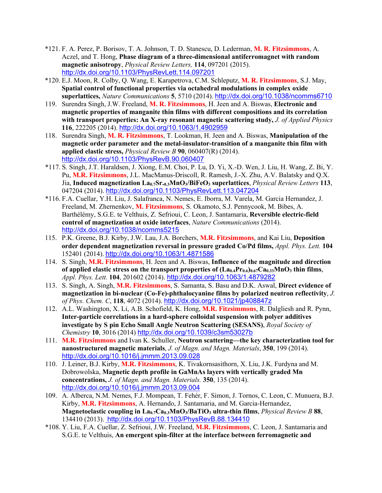- \*121. F. A. Perez, P. Borisov, T. A. Johnson, T. D. Stanescu, D. Lederman, **M. R. Fitzsimmons**, A. Aczel, and T. Hong, **Phase diagram of a three-dimensional antiferromagnet with random magnetic anisotropy**, *Physical Review Letters,* **114**, 097201 (2015). http://dx.doi.org/10.1103/PhysRevLett.114.097201
- \*120. E.J. Moon, R. Colby, Q. Wang, E. Karapetrova, C.M. Schleputz, **M. R. Fitzsimmons**, S.J. May, **Spatial control of functional properties via octahedral modulations in complex oxide superlattices,** *Nature Communications* **5**, 5710 (2014). http://dx.doi.org/10.1038/ncomms6710
- 119. Surendra Singh, J.W. Freeland, **M. R. Fitzsimmons**, H. Jeen and A. Biswas, **Electronic and magnetic properties of manganite thin films with different compositions and its correlation with transport properties: An X-ray resonant magnetic scattering study,** *J. of Applied Physics*  **116**, 222205 (2014). http://dx.doi.org/10.1063/1.4902959
- 118. Surendra Singh, **M. R. Fitzsimmons**, T. Lookman, H. Jeen and A. Biswas, **Manipulation of the magnetic order parameter and the metal-insulator-transition of a manganite thin film with applied elastic stress,** *Physical Review B* **90**, 060407(R) (2014). http://dx.doi.org/10.1103/PhysRevB.90.060407
- \*117. S. Singh, J.T. Haraldsen, J. Xiong, E.M. Choi, P. Lu, D. Yi, X.-D. Wen, J. Liu, H. Wang, Z. Bi, Y. Pu, **M.R. Fitzsimmons**, J.L. MacManus-Driscoll, R. Ramesh, J.-X. Zhu, A.V. Balatsky and Q.X. Jia, **Induced magnetization La0.7Sr.0.3MnO3/BiFeO3 superlattices**, *Physical Review Letters* **113**, 047204 (2014). http://dx.doi.org/10.1103/PhysRevLett.113.047204
- \*116. F.A. Cuellar, Y.H. Liu, J. Salafranca, N. Nemes, E. Iborra, M. Varela, M. Garcia Hernandez, J. Freeland, M. Zhernenkov, **M. Fitzsimmons**, S. Okamoto, S.J. Pennycook, M. Bibes, A. Barthélémy, S.G.E. te Velthuis, Z. Sefrioui, C. Leon, J. Santamaria, **Reversible electric-field control of magnetization at oxide interfaces**, *Nature Communications* (2014). http://dx.doi.org/10.1038/ncomms5215
- 115. P.K. Greene, B.J. Kirby, J.W. Lau, J.A. Borchers, **M.R. Fitzsimmons**, and Kai Liu, **Deposition order dependent magnetization reversal in pressure graded Co/Pd films,** *Appl. Phys. Lett.* **104** 152401 (2014). http://dx.doi.org/10.1063/1.4871586
- 114. S. Singh, **M.R. Fitzsimmons**, H. Jeen and A. Biswas, **Influence of the magnitude and direction**  of applied elastic stress on the transport properties of  $(La_{0.4}Pr_{0.6})_{0.67}Ca_{0.33}MnO_3$  thin films, *Appl. Phys. Lett.* **104**, 201602 (2014). http://dx.doi.org/10.1063/1.4879282
- 113. S. Singh, A. Singh, **M.R. Fitzsimmons**, S. Samanta, S. Basu and D.K. Aswal, **Direct evidence of magnetization in bi-nuclear (Co-Fe)-phthalocyanine films by polarized neutron reflectivity**, *J. of Phys. Chem. C*, **118**, 4072 (2014). http://dx.doi.org/10.1021/jp408847z
- 112. A.L. Washington, X. Li, A.B. Schofield, K. Hong, **M.R. Fitzsimmons**, R. Dalgliesh and R. Pynn, **Inter-particle correlations in a hard-sphere colloidal suspension with polyer additives investigate by S pin Echo Small Angle Neutron Scattering (SESANS)**, *Royal Society of Chemistry* **10**, 3016 (2014) http://dx.doi.org/10.1039/c3sm53027b
- 111. **M.R. Fitzsimmons** and Ivan K. Schuller, **Neutron scattering—the key characterization tool for nanostructured magnetic materials**, *J. of Magn. and Magn. Materials*, **350**, 199 (2014). http://dx.doi.org/10.1016/j.jmmm.2013.09.028
- 110. J. Leiner, B.J. Kirby, **M.R. Fitzsimmons**, K. Tivakornsasithorn, X. Liu, J.K. Furdyna and M. Dobrowolska, **Magnetic depth profile in GaMnAs layers with vertically graded Mn concentrations,** *J. of Magn. and Magn. Materials.* **350**, 135 (2014). http://dx.doi.org/10.1016/j.jmmm.2013.09.004
- 109. A. Alberca, N.M. Nemes, F.J. Mompean, T. Fehér, F. Simon, J. Tornos, C. Leon, C. Munuera, B.J. Kirby, **M.R. Fitzsimmons**, A. Hernando, J. Santamaria, and M. Garcia-Hernandez, **Magnetoelastic coupling in La0.7Ca0.3MnO3/BaTiO3 ultra-thin films**, *Physical Review B* **88**, 134410 (2013). http://dx.doi.org/10.1103/PhysRevB.88.134410
- \*108. Y. Liu, F.A. Cuellar, Z. Sefrioui, J.W. Freeland, **M.R. Fitzsimmons**, C. Leon, J. Santamaria and S.G.E. te Velthuis, **An emergent spin-filter at the interface between ferromagnetic and**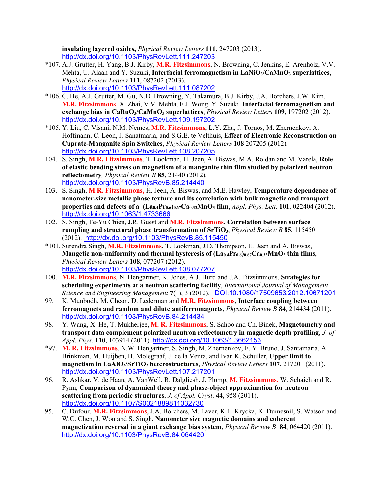**insulating layered oxides,** *Physical Review Letters* **111**, 247203 (2013). http://dx.doi.org/10.1103/PhysRevLett.111.247203

- \*107. A.J. Grutter, H. Yang, B.J. Kirby, **M.R. Fitzsimmons**, N. Browning, C. Jenkins, E. Arenholz, V.V. Mehta, U. Alaan and Y. Suzuki, **Interfacial ferromagnetism in LaNiO3/CaMnO3 superlattices**, *Physical Review Letters* **111,** 087202 (2013). http://dx.doi.org/10.1103/PhysRevLett.111.087202
- \*106. C. He, A.J. Grutter, M. Gu, N.D. Browning, Y. Takamura, B.J. Kirby, J.A. Borchers, J.W. Kim, **M.R. Fitzsimmons**, X. Zhai, V.V. Mehta, F.J. Wong, Y. Suzuki, **Interfacial ferromagnetism and exchange bias in CaRuO3/CaMnO3 superlattices**, *Physical Review Letters* **109,** 197202 (2012). http://dx.doi.org/10.1103/PhysRevLett.109.197202
- \*105. Y. Liu, C. Visani, N.M. Nemes, **M.R. Fitzsimmons**, L.Y. Zhu, J. Tornos, M. Zhernenkov, A. Hoffmann, C. Leon, J. Sanatmaria, and S.G.E. te Velthuis, **Effect of Electronic Reconstruction on Cuprate-Manganite Spin Switches**, *Physical Review Letters* **108** 207205 (2012). http://dx.doi.org/10.1103/PhysRevLett.108.207205
- 104. S. Singh, **M.R. Fitzsimmons**, T. Lookman, H. Jeen, A. Biswas, M.A. Roldan and M. Varela, **Role of elastic bending stress on magnetism of a manganite thin film studied by polarized neutron reflectometry***, Physical Review B* **85**, 21440 (2012). http://dx.doi.org/10.1103/PhysRevB.85.214440
- 103. S. Singh, **M.R. Fitzsimmons,** H. Jeen, A. Biswas, and M.E. Hawley, **Temperature dependence of nanometer-size metallic phase texture and its correlation with bulk magnetic and transport properties and defects of a**  $(La_{0.4}Pr_{0.6}l_{0.67}Ca_{0.33}MnO_3$  **<b>film**, *Appl. Phys. Lett.* **101**, 022404 (2012). http://dx.doi.org/10.1063/1.4733666
- 102. S. Singh, Te-Yu Chien, J.R. Guest and **M.R. Fitzsimmons**, **Correlation between surface rumpling and structural phase transformation of SrTiO3**, *Physical Review B* **85**, 115450 (2012). http://dx.doi.org/10.1103/PhysRevB.85.115450
- \*101. Surendra Singh, **M.R. Fitzsimmons**, T. Lookman, J.D. Thompson, H. Jeen and A. Biswas, **Mangetic non-uniformity and thermal hysteresis of**  $(La_{0.4}Pr_{0.6})_{0.67}Ca_{0.33}MnO_3$  **thin films,** *Physical Review Letters* **108**, 077207 (2012). http://dx.doi.org/10.1103/PhysRevLett.108.077207
- 100. **M.R. Fitzsimmons**, N. Hengartner, K. Jones, A.J. Hurd and J.A. Fitzsimmons, **Strategies for scheduling experiments at a neutron scattering facility**, *International Journal of Management Science and Engineering Management* **7**(1), 3 (2012). DOI:10.1080/17509653.2012.10671201
- 99. K. Munbodh, M. Cheon, D. Lederman and **M.R. Fitzsimmons**, **Interface coupling between ferromagnets and random and dilute antiferromagnets**, *Physical Review B* **84**, 214434 (2011). http://dx.doi.org/10.1103/PhysRevB.84.214434
- 98. Y. Wang, X. He, T. Mukherjee, **M. R. Fitzsimmons**, S. Sahoo and Ch. Binek, **Magnetometry and transport data complement polarized neutron reflectometry in magnetic depth profiling**, *J. of Appl. Phys.* **110**, 103914 (2011). http://dx.doi.org/10.1063/1.3662153
- \*97. **M. R. Fitzsimmons**, N.W. Hengartner, S. Singh, M. Zhernenkov, F. Y. Bruno, J. Santamaria, A. Brinkman, M. Huijben, H. Molegraaf, J. de la Venta, and Ivan K. Schuller, **Upper limit to magnetism in LaAlO3/SrTiO3 heterostructures**, *Physical Review Letters* **107**, 217201 (2011). http://dx.doi.org/10.1103/PhysRevLett.107.217201
- 96. R. Ashkar, V. de Haan, A. VanWell, R. Dalgliesh, J. Plomp, **M. Fitzsimmons,** W. Schaich and R. Pynn, **Comparison of dynamical theory and phase-object approximation for neutron scattering from periodic structures**, *J. of Appl. Cryst*. **44**, 958 (2011). http://dx.doi.org/10.1107/S0021889811032730
- 95. C. Dufour, **M.R. Fitzsimmons**, J.A. Borchers, M. Laver, K.L. Krycka, K. Dumesnil, S. Watson and W.C. Chen, J. Won and S. Singh, **Nanometer size magnetic domains and coherent magnetization reversal in a giant exchange bias system**, *Physical Review B* **84**, 064420 (2011). http://dx.doi.org/10.1103/PhysRevB.84.064420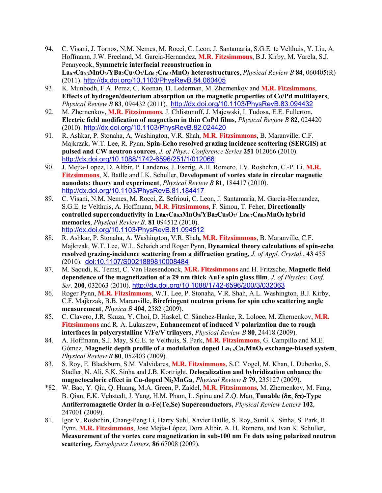- 94. C. Visani, J. Tornos, N.M. Nemes, M. Rocci, C. Leon, J. Santamaria, S.G.E. te Velthuis, Y. Liu, A. Hoffmann, J.W. Freeland, M. Garcia-Hernandez, **M.R. Fitzsimmons**, B.J. Kirby, M. Varela, S.J. Pennycook, **Symmetric interfacial reconstruction in La0.7Ca0.3MnO3/YBa2Cu3O7/La0.7Ca0.3MnO3 heterostructures**, *Physical Review B* **84**, 060405(R) (2011). http://dx.doi.org/10.1103/PhysRevB.84.060405
- 93. K. Munbodh, F.A. Perez, C. Keenan, D. Lederman, M. Zhernenkov and **M.R. Fitzsimmons**, **Effects of hydrogen/deuterium absorption on the magnetic properties of Co/Pd multilayers**, *Physical Review B* **83**, 094432 (2011). http://dx.doi.org/10.1103/PhysRevB.83.094432
- 92. M. Zhernenkov, **M.R. Fitzsimmons**, J. Chlistunoff, J. Majewski, I. Tudosa, E.E. Fullerton, **Electric field modification of magnetism in thin CoPd films**, *Physical Review B* **82,** 024420 (2010). http://dx.doi.org/10.1103/PhysRevB.82.024420
- 91. R. Ashkar, P. Stonaha, A. Washington, V.R. Shah, **M.R. Fitzsimmons**, B. Maranville, C.F. Majkrzak, W.T. Lee, R. Pynn, **Spin-Echo resolved grazing incidence scattering (SERGIS) at pulsed and CW neutron sources**, *J. of Phys.: Conference Series* **251** 012066 (2010). http://dx.doi.org/10.1088/1742-6596/251/1/012066
- 90. J. Mejia-Lopez, D. Altbir, P. Landeros, J. Escrig, A.H. Romero, I.V. Roshchin, C.-P. Li, **M.R. Fitzsimmons**, X. Batlle and I.K. Schuller, **Development of vortex state in circular magnetic nanodots: theory and experiment**, *Physical Review B* **81**, 184417 (2010). http://dx.doi.org/10.1103/PhysRevB.81.184417
- 89. C. Visani, N.M. Nemes, M. Rocci, Z. Sefrioui, C. Leon, J. Santamaria, M. Garcia-Hernandez, S.G.E. te Velthuis, A. Hoffmann, **M.R. Fitzsimmons**, F. Simon, T. Feher, **Directionally**  controlled superconductivity in La<sub>0.7</sub>Ca<sub>0.3</sub>MnO<sub>3</sub>/YBa<sub>2</sub>Cu<sub>3</sub>O<sub>7</sub>/ La<sub>0.7</sub>Ca<sub>0.3</sub>MnO<sub>3</sub> hybrid **memories**, *Physical Review B*. **81** 094512 (2010). http://dx.doi.org/10.1103/PhysRevB.81.094512
- 88. R. Ashkar, P. Stonaha, A. Washington, V.R. Shah**, M.R. Fitzsimmons**, B. Maranville, C.F. Majkrzak, W.T. Lee, W.L. Schaich and Roger Pynn, **Dynamical theory calculations of spin-echo resolved grazing-incidence scattering from a diffraction grating,** *J. of Appl. Crystal.*, **43** 455 (2010). doi:10.1107/S0021889810008484
- 87. M. Saoudi, K. Temst, C. Van Haesendonck, **M.R. Fitzsimmons** and H. Fritzsche, **Magnetic field dependence of the magnetization of a 29 nm thick AuFe spin glass film**, *J. of Physics: Conf. Ser*. **200**, 032063 (2010). http://dx.doi.org/10.1088/1742-6596/200/3/032063
- 86. Roger Pynn, **M.R. Fitzsimmons**, W.T. Lee, P. Stonaha, V.R. Shah, A.L. Washington, B.J. Kirby, C.F. Majkrzak, B.B. Maranville, **Birefringent neutron prisms for spin echo scattering angle measurement**, *Physica B* **404**, 2582 (2009).
- 85. C. Clavero, J.R. Skuza, Y. Choi, D. Haskel, C. Sánchez-Hanke, R. Loloee, M. Zhernenkov, **M.R. Fitzsimmons** and R. A. Lukaszew, **Enhancement of induced V polarization due to rough interfaces in polycrystalline V/Fe/V trilayers**, *Physical Review B* **80**, 24418 (2009).
- 84. A. Hoffmann, S.J. May, S.G.E. te Velthuis, S. Park, **M.R. Fitzsimmons**, G. Campillo and M.E. Gómez, Magnetic depth profile of a modulation doped La<sub>1-x</sub>Ca<sub>x</sub>MnO<sub>3</sub> exchange-biased system, *Physical Review B* **80**, 052403 (2009).
- 83. S. Roy, E. Blackburn, S.M. Valvidares, **M.R. Fitzsimmons**, S.C. Vogel, M. Khan, I. Dubenko, S. Stadler, N. Ali, S.K. Sinha and J.B. Kortright, **Delocalization and hybridization enhance the magnetocaloric effect in Cu-doped Ni2MnGa**, *Physical Review B* **79**, 235127 (2009).
- \*82. W. Bao, Y. Qiu, Q. Huang, M.A. Green, P. Zajdel, **M.R. Fitzsimmons**, M. Zhernenkov, M. Fang, B. Qian, E.K. Vehstedt, J. Yang, H.M. Pham, L. Spinu and Z.Q. Mao, **Tunable**  $(\delta \pi, \delta \pi)$ **-Type Antiferromagnetic Order in** a**-Fe(Te,Se) Superconductors,** *Physical Review Letters* **102**, 247001 (2009).
- 81. Igor V. Roshchin, Chang-Peng Li, Harry Suhl, Xavier Batlle, S. Roy, Sunil K. Sinha, S. Park, R. Pynn, **M.R. Fitzsimmons**, Jose Mejía-López, Dora Altbir, A. H. Romero, and Ivan K. Schuller, **Measurement of the vortex core magnetization in sub-100 nm Fe dots using polarized neutron scattering**, *Europhysics Letters,* **86** 67008 (2009).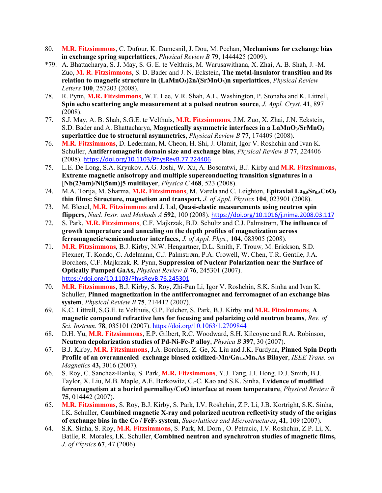- 80. **M.R. Fitzsimmons**, C. Dufour, K. Dumesnil, J. Dou, M. Pechan, **Mechanisms for exchange bias in exchange spring superlattices**, *Physical Review B* **79**, 1444425 (2009).
- \*79. A. Bhattacharya, S. J. May, S. G. E. te Velthuis, M. Warusawithana, X. Zhai, A. B. Shah, J. -M. Zuo, **M. R. Fitzsimmons**, S. D. Bader and J. N. Eckstein**, The metal-insulator transition and its relation to magnetic structure in (LaMnO3)2n/(SrMnO3)n superlattices**, *Physical Review Letters* **100**, 257203 (2008).
- 78. R. Pynn, **M.R. Fitzsimmons**, W.T. Lee, V.R. Shah, A.L. Washington, P. Stonaha and K. Littrell, **Spin echo scattering angle measurement at a pulsed neutron source**, *J. Appl. Cryst.* **41**, 897 (2008).
- 77. S.J. May, A. B. Shah, S.G.E. te Velthuis, **M.R. Fitzsimmons**, J.M. Zuo, X. Zhai, J.N. Eckstein, S.D. Bader and A. Bhattacharya, **Magnetically asymmetric interfaces in a LaMnO3/SrMnO3 superlattice due to structural asymmetries**, *Physical Review B* **77**, 174409 (2008).
- 76. **M.R. Fitzsimmons**, D. Lederman, M. Cheon, H. Shi, J. Olamit, Igor V. Roshchin and Ivan K. Schuller, **Antiferromagnetic domain size and exchange bias**, *Physical Review B* **77**, 224406 (2008). https://doi.org/10.1103/PhysRevB.77.224406
- 75. L.E. De Long, S.A. Kryukov, A.G. Joshi, W. Xu, A. Bosomtwi, B.J. Kirby and **M.R. Fitzsimmons, Extreme magnetic anisotropy and multiple superconducting transition signatures in a [Nb(23nm)/Ni(5nm)]5 multilayer**, *Physica C* **468**, 523 (2008).
- 74. M.A. Torija, M. Sharma, M.R. Fitzsimmons, M. Varela and C. Leighton, Epitaxial La<sub>0.5</sub>Sr<sub>0.5</sub>CoO<sub>3</sub> **thin films: Structure, magnetism and transport,** *J. of Appl. Physics* **104**, 023901 (2008).
- 73. M. Bleuel, **M.R. Fitzsimmons** and J. Lal, **Quasi-elastic measurements using neutron spin flippers**, *Nucl. Instr. and Methods A* **592**, 100 (2008). https://doi.org/10.1016/j.nima.2008.03.117
- 72. S. Park, **M.R. Fitzsimmons**, C.F. Majkrzak, B.D. Schultz and C.J. Palmstrøm, **The influence of growth temperature and annealing on the depth profiles of magnetization across ferromagnetic/semiconductor interfaces,** *J. of Appl. Phys.,* **104,** 083905 (2008).
- 71. **M.R. Fitzsimmons**, B.J. Kirby, N.W. Hengartner, D.L. Smith, F. Trouw*,* M. Erickson, S.D. Flexner, T. Kondo, C. Adelmann, C.J. Palmstrøm, P.A. Crowell, W. Chen, T.R. Gentile, J.A. Borchers, C.F. Majkrzak*,* R. Pynn, **Suppression of Nuclear Polarization near the Surface of Optically Pumped GaAs,** *Physical Review B* **76**, 245301 (2007). https://doi.org/10.1103/PhysRevB.76.245301
- 70. **M.R. Fitzsimmons**, B.J. Kirby, S. Roy, Zhi-Pan Li, Igor V. Roshchin, S.K. Sinha and Ivan K. Schuller, **Pinned magnetization in the antiferromagnet and ferromagnet of an exchange bias system**, *Physical Review B* **75**, 214412 (2007).
- 69. K.C. Littrell, S.G.E. te Velthuis, G.P. Felcher, S. Park, B.J. Kirby and **M.R. Fitzsimmons**, **A magnetic compound refractive lens for focusing and polarizing cold neutron beams**, *Rev. of Sci. Instrum.* **78**, 035101 (2007). https://doi.org/10.1063/1.2709844
- 68. D.H. Yu, **M.R. Fitzsimmons**, E.P. Gilbert, R.C. Woodward, S.H. Kilcoyne and R.A. Robinson, **Neutron depolarization studies of Pd-Ni-Fe-P alloy**, *Physica B* **397**, 30 (2007).
- 67. B.J. Kirby, **M.R. Fitzsimmons**, J.A. Borchers, Z. Ge, X. Liu and J.K. Furdyna, **Pinned Spin Depth Profile of an overannealed exchange biased oxidized-Mn/Ga1-xMnxAs Bilayer**, *IEEE Trans. on Magnetics* **43,** 3016 (2007).
- 66. S. Roy, C. Sanchez-Hanke, S. Park, **M.R. Fitzsimmons**, Y.J. Tang, J.I. Hong, D.J. Smith, B.J. Taylor, X. Liu, M.B. Maple, A.E. Berkowitz, C.-C. Kao and S.K. Sinha, **Evidence of modified ferromagnetism at a buried permalloy/CoO interface at room temperature**, *Physical Review B*  **75**, 014442 (2007).
- 65. **M.R. Fitzsimmons**, S. Roy, B.J. Kirby, S. Park, I.V. Roshchin, Z.P. Li, J.B. Kortright, S.K. Sinha, I.K. Schuller, **Combined magnetic X-ray and polarized neutron reflectivity study of the origins of exchange bias in the Co / FeF2 system**, *Superlattices and Microstructures*, **41**, 109 (2007).
- 64. S.K. Sinha, S. Roy, **M.R. Fitzsimmons**, S. Park, M. Dorn , O. Petracic, I.V. Roshchin, Z.P. Li, X. Batlle, R. Morales, I.K. Schuller, **Combined neutron and synchrotron studies of magnetic films,** *J. of Physics* **67**, 47 (2006).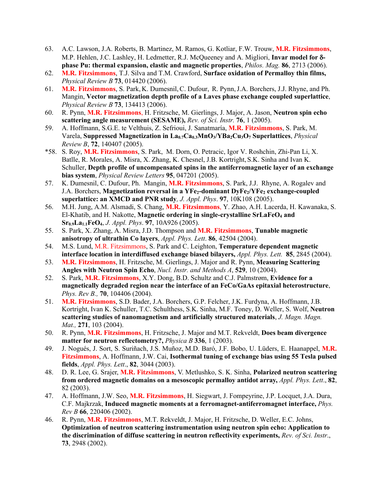- 63. A.C. Lawson, J.A. Roberts, B. Martinez, M. Ramos, G. Kotliar, F.W. Trouw, **M.R. Fitzsimmons**, M.P. Hehlen, J.C. Lashley, H. Ledmetter, R.J. McQueeney and A. Migliori, Invar model for  $\delta$ **phase Pu: thermal expansion, elastic and magnetic properties**, *Philos. Mag.* **86**, 2713 (2006).
- 62. **M.R. Fitzsimmons**, T.J. Silva and T.M. Crawford, **Surface oxidation of Permalloy thin films,** *Physical Review B* **73**, 014420 (2006).
- 61. **M.R. Fitzsimmons**, S. Park, K. Dumesnil,C. Dufour, R. Pynn,J.A. Borchers, J.J. Rhyne, and Ph. Mangin, **Vector magnetization depth profile of a Laves phase exchange coupled superlattice**, *Physical Review B* **73**, 134413 (2006).
- 60. R. Pynn, **M.R. Fitzsimmons**, H. Fritzsche, M. Gierlings, J. Major, A. Jason, **Neutron spin echo scattering angle measurement (SESAME),** *Rev. of Sci. Instr.* **76**, 1 (2005).
- 59. A. Hoffmann, S.G.E. te Velthuis, Z. Sefrioui, J. Sanatmaría, **M.R. Fitzsimmons**, S. Park, M. Varela, **Suppressed Magnetization in La0.7Ca0.3MnO3/YBa2Cu3O7 Superlattices**, *Physical Review B*, **72**, 140407 (2005).
- \*58. S. Roy, **M.R. Fitzsimmons**, S. Park, M. Dorn, O. Petracic, Igor V. Roshchin, Zhi-Pan Li, X. Batlle, R. Morales, A. Misra, X. Zhang, K. Chesnel, J.B. Kortright, S.K. Sinha and Ivan K. Schuller, **Depth profile of uncompensated spins in the antiferromagnetic layer of an exchange bias system**, *Physical Review Letters* **95**, 047201 (2005).
- 57. K. Dumesnil, C. Dufour, Ph. Mangin, **M.R. Fitzsimmons**, S. Park, J.J. Rhyne, A. Rogalev and J.A. Borchers, Magnetization reversal in a YFe<sub>2</sub>-dominant DyFe<sub>2</sub>/YFe<sub>2</sub> exchange-coupled **superlattice: an XMCD and PNR study***, J. Appl. Phys*. **97**, 10K108 (2005).
- 56. M.H. Jung, A.M. Alsmadi, S. Chang, **M.R. Fitzsimmons**, Y. Zhao, A.H. Lacerda, H. Kawanaka, S. El-Khatib, and H. Nakotte, **Magnetic ordering in single-crystalline SrLaFeO4 and Sr0.9La1.1FeO4**, *J. Appl. Phys*. **97**, 10A926 (2005).
- 55. S. Park, X. Zhang, A. Misra, J.D. Thompson and **M.R. Fitzsimmons**, **Tunable magnetic anisotropy of ultrathin Co layers**, *Appl. Phys. Lett*. **86**, 42504 (2004).
- 54. M.S. Lund, M.R. Fitzsimmons, S. Park and C. Leighton, **Temperature dependent magnetic interface location in interdiffused exchange biased bilayers,** *Appl. Phys. Lett.* **85**, 2845 (2004).
- 53. **M.R. Fitzsimmons**, H. Fritzsche, M. Gierlings, J. Major and R. Pynn, **Measuring Scattering Angles with Neutron Spin Echo**, *Nucl. Instr. and Methods A*, **529**, 10 (2004).
- 52. S. Park, **M.R. Fitzsimmons**, X.Y. Dong, B.D. Schultz and C.J. Palmstrøm, **Evidence for a magnetically degraded region near the interface of an FeCo/GaAs epitaxial heterostructure**, *Phys. Rev B.,* **70**, 104406 (2004).
- 51. **M.R. Fitzsimmons**, S.D. Bader, J.A. Borchers, G.P. Felcher, J.K. Furdyna, A. Hoffmann, J.B. Kortright, Ivan K. Schuller, T.C. Schulthess, S.K. Sinha, M.F. Toney, D. Weller, S. Wolf, **Neutron scattering studies of nanomagnetism and artificially structured materials**, *J. Magn. Magn. Mat.,* **271**, 103 (2004).
- 50. R. Pynn, **M.R. Fitzsimmons**, H. Fritzsche, J. Major and M.T. Rekveldt, **Does beam divergence matter for neutron reflectometry?,** *Physica B* **336**, 1 (2003).
- 49. J. Nogués, J. Sort, S. Suriñach, J.S. Muñoz, M.D. Baró, J.F. Bobo, U. Lüders, E. Haanappel, **M.R. Fitzsimmons**, A. Hoffmann, J.W. Cai, **Isothermal tuning of exchange bias using 55 Tesla pulsed fields**, *Appl. Phys. Lett*., **82**, 3044 (2003).
- 48. D. R. Lee, G. Srajer, **M.R. Fitzsimmons**, V. Metlushko, S. K. Sinha, **Polarized neutron scattering from ordered magnetic domains on a mesoscopic permalloy antidot array,** *Appl. Phys. Lett*., **82**, 82 (2003).
- 47. A. Hoffmann, J.W. Seo, **M.R. Fitzsimmons**, H. Siegwart, J. Fompeyrine, J.P. Locquet, J.A. Dura, C.F. Majkrzak, **Induced magnetic moments at a ferromagnet-antiferromagnet interface,** *Phys. Rev B* **66**, 220406 (2002).
- 46. R. Pynn, **M.R. Fitzsimmons**, M.T. Rekveldt, J. Major, H. Fritzsche, D. Weller, E.C. Johns, **Optimization of neutron scattering instrumentation using neutron spin echo: Application to the discrimination of diffuse scattering in neutron reflectivity experiments,** *Rev. of Sci. Instr*., **73**, 2948 (2002).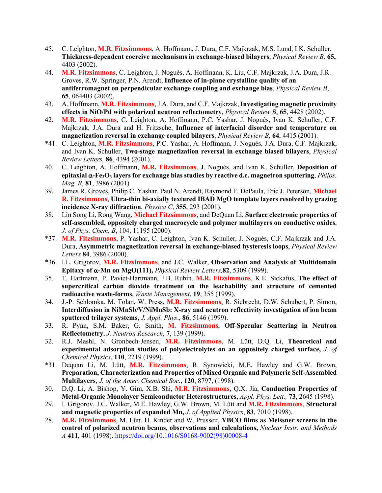- 45. C. Leighton, **M.R. Fitzsimmons**, A. Hoffmann, J. Dura, C.F. Majkrzak, M.S. Lund, I.K. Schuller, **Thickness-dependent coercive mechanisms in exchange-biased bilayers**, *Physical Review B*, **65,** 4403 (2002).
- 44. **M.R. Fitzsimmons**, C. Leighton, J. Nogués, A. Hoffmann, K. Liu, C.F. Majkrzak, J.A. Dura, J.R. Groves, R.W. Springer, P.N. Arendt, **Influence of in-plane crystalline quality of an antiferromagnet on perpendicular exchange coupling and exchange bias**, *Physical Review B*, **65**, 064403 (2002).
- 43. A. Hoffmann, **M.R. Fitzsimmons**, J.A. Dura, and C.F. Majkrzak, **Investigating magnetic proximity effects in NiO/Pd with polarized neutron reflectometry**, *Physical Review B*, **65**, 4428 (2002).
- 42. **M.R. Fitzsimmons**, C. Leighton, A. Hoffmann, P.C. Yashar, J. Nogués, Ivan K. Schuller, C.F. Majkrzak, J.A. Dura and H. Fritzsche, **Influence of interfacial disorder and temperature on magnetization reversal in exchange coupled bilayers**, *Physical Review B*, **64**, 4415 (2001).
- \*41. C. Leighton, **M.R. Fitzsimmons**, P.C. Yashar, A. Hoffmann, J. Nogués, J.A. Dura, C.F. Majkrzak, and Ivan K. Schuller, **Two-stage magnetization reversal in exchange biased bilayers**, *Physical Review Letters,* **86**, 4394 (2001).
- 40. C. Leighton, A. Hoffmann, **M.R. Fitzsimmons**, J. Nogués, and Ivan K. Schuller, **Deposition of epitaxial** a**-Fe2O3 layers for exchange bias studies by reactive d.c. magnetron sputtering**, *Philos. Mag. B*, **81**, 3986 (2001)
- 39. James R. Groves, Philip C. Yashar, Paul N. Arendt, Raymond F. DePaula, Eric J. Peterson, **Michael R. Fitzsimmons**, **Ultra-thin bi-axially textured IBAD MgO template layers resolved by grazing incidence X-ray diffraction**, *Physica C*, **355**, 293 (2001).
- 38. Lin Song Li, Rong Wang, **Michael Fitzsimmons**, and DeQuan Li, **Surface electronic properties of self-assembled, oppositely charged macrocycle and polymer multilayers on conductive oxides**, *J. of Phys. Chem. B*, 104, 11195 (2000).
- \*37. **M.R. Fitzsimmons**, P. Yashar, C. Leighton, Ivan K. Schuller, J. Nogués, C.F. Majkrzak and J.A. Dura, **Asymmetric magnetization reversal in exchange-biased hysteresis loops**, *Physical Review Letters* **84**, 3986 (2000).
- \*36. I.L. Grigorov, **M.R. Fitzsimmons**, and J.C. Walker, **Observation and Analysis of Multidomain Epitaxy of** a**-Mn on MgO(111),** *Physical Review Letters,***82**, 5309 (1999).
- 35. T. Hartmann, P. Paviet-Hartmann, J.B. Rubin, **M.R. Fitzsimmons**, K.E. Sickafus, **The effect of supercritical carbon dioxide treatment on the leachability and structure of cemented radioactive waste-forms**, *Waste Management*, **19**, 355 (1999).
- 34. J.-P. Schlomka, M. Tolan, W. Press, **M.R. Fitzsimmons**, R. Siebrecht, D.W. Schubert, P. Simon, **Interdiffusion in NiMnSb/V/NiMnSb: X-ray and neutron reflectivity investigation of ion beam sputtered trilayer systems**, *J. Appl. Phys*., **86**, 5146 (1999).
- 33. R. Pynn, S.M. Baker, G. Smith, **M. Fitzsimmons**, **Off-Specular Scattering in Neutron Reflectometry**, *J. Neutron Research*, **7**, 139 (1999).
- 32. R.J. Mashl, N. Gronbech-Jensen, **M.R. Fitzsimmons**, M. Lütt, D.Q. Li, **Theoretical and experimental adsorption studies of polyelectrolytes on an oppositely charged surface,** *J. of Chemical Physics*, **110**, 2219 (1999).
- \*31. Dequan Li, M. Lütt, **M.R. Fitzsimmons**, R. Synowicki, M.E. Hawley and G.W. Brown, **Preparation, Characterization and Properties of Mixed Organic and Polymeric Self-Assembled Multilayers**, *J. of the Amer. Chemical Soc.*, **120**, 8797, (1998).
- 30. D.Q. Li, A. Bishop, Y. Gim, X.B. Shi, **M.R. Fitzsimmons**, Q.X. Jia, **Conduction Properties of Metal-Organic Monolayer Semiconductor Heterostructures,** *Appl. Phys. Lett.,* **73**, 2645 (1998).
- 29. I. Grigorov, J.C. Walker, M.E. Hawley, G.W. Brown, M. Lütt and **M.R. Fitzsimmons**, **Structural and magnetic properties of expanded Mn,** *J. of Applied Physics*, **83**, 7010 (1998).
- 28. **M.R. Fitzsimmons**, M. Lütt, H. Kinder and W. Prusseit, **YBCO films as Meissner screens in the control of polarized neutron beams, observations and calculations,** *Nuclear Instr. and Methods A* **411,** 401 (1998). https://doi.org/10.1016/S0168-9002(98)00008-4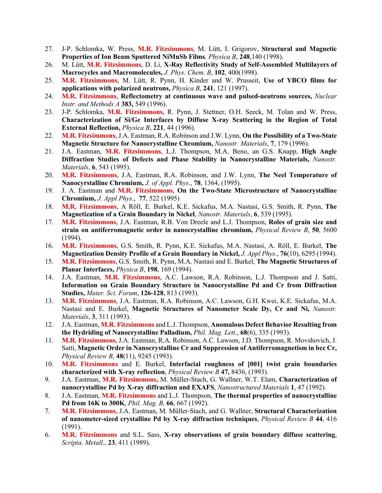- 27. J-P. Schlomka, W. Press, **M.R. Fitzsimmons**, M. Lütt, I. Grigorov, **Structural and Magnetic Properties of Ion Beam Sputtered NiMnSb Films***, Physica B*, **248**,140 (1998).
- 26. M. Lütt, **M.R. Fitzsimmons**, D. Li, **X-Ray Reflectivity Study of Self-Assembled Multilayers of Macrocycles and Macromolecules,** *J. Phys. Chem. B*, **102**, 400(1998).
- 25. **M.R. Fitzsimmons**, M. Lütt, R. Pynn, H. Kinder and W. Prusseit, **Use of YBCO films for applications with polarized neutrons,** *Physica B*, **241**, 121 (1997).
- 24. **M.R. Fitzsimmons**, **Reflectometry at continuous wave and pulsed-neutrons sources,** *Nuclear Instr. and Methods A* **383,** 549 (1996).
- 23. J-P. Schlomka, **M.R. Fitzsimmons**, R. Pynn, J. Stettner, O.H. Seeck, M. Tolan and W. Press, **Characterization of Si/Ge Interfaces by Diffuse X-ray Scattering in the Region of Total External Reflection,** *Physica B*, **221**, 44 (1996).
- 22. **M.R. Fitzsimmons**, J.A. Eastman, R.A. Robinson and J.W. Lynn, **On the Possibility of a Two-State Magnetic Structure for Nanocrystalline Chromium,** *Nanostr. Materials*, **7**, 179 (1996).
- 21. J.A. Eastman, **M.R. Fitzsimmons**, L.J. Thompson, M.A. Beno, an G.S. Knapp, **High Angle Diffraction Studies of Defects and Phase Stability in Nanocrystalline Materials,** *Nanostr. Materials*, **6**, 543 (1995).
- 20. **M.R. Fitzsimmons**, J.A. Eastman, R.A. Robinson, and J.W. Lynn, **The Neel Temperature of Nanocyrstalline Chromium,** *J. of Appl. Phys*., **78**, 1364, (1995).
- 19. J. A. Eastman and **M.R. Fitzsimmons**, **On the Two-State Microstructure of Nanocrystalline Chromium,** *J. Appl Phys*., **77**, 522 (1995)
- 18. **M.R. Fitzsimmons**, A Röll, E. Burkel, K.E. Sickafus, M.A. Nastasi, G.S. Smith, R. Pynn, **The Magnetization of a Grain Boundary in Nickel**, *Nanostr. Materials*, **6**, 539 (1995).
- 17. **M.R. Fitzsimmons**, J.A. Eastman, R.B. Von Dreele and L.J. Thompson, **Roles of grain size and strain on antiferromagnetic order in nanocrystalline chromium,** *Physical Review B*, **50**, 5600 (1994).
- 16. **M.R. Fitzsimmons**, G.S. Smith, R. Pynn, K.E. Sickafus, M.A. Nastasi, A. Röll, E. Burkel, **The Magnetization Density Profile of a Grain Boundary in Nickel,** *J. Appl Phys*., **76**(10), 6295 (1994).
- 15. **M.R. Fitzsimmons**, G.S. Smith, R. Pynn, M.A. Nastasi and E. Burkel, **The Magnetic Structures of Planar Interfaces,** *Physica B*, **198**, 169 (1994).
- 14. J.A. Eastman, **M.R. Fitzsimmons**, A.C. Lawson, R.A. Robinson, L.J. Thompson and J. Satti, **Information on Grain Boundary Structure in Nanocrystalline Pd and Cr from Diffraction Studies,** *Mater. Sci. Forum*, **126-128**, 813 (1993).
- 13. **M.R. Fitzsimmons**, J.A. Eastman, R.A. Robinson, A.C. Lawson, G.H. Kwei, K.E. Sickafus, M.A. Nastasi and E. Burkel, **Magnetic Structures of Nanometer Scale Dy, Cr and Ni,** *Nanostr. Materials*, **3**, 311 (1993).
- 12. J.A. Eastman, **M.R. Fitzsimmons** and L.J. Thompson, **Anomalous Defect Behavior Resulting from the Hydriding of Nanocrystalline Palladium,** *Phil. Mag. Lett*., **68**(6), 335 (1993).
- 11. **M.R. Fitzsimmons**, J.A. Eastman, R.A. Robinson, A.C. Lawson, J.D. Thompson, R. Movshovich, J. Satti, **Magnetic Order in Nanocrystalline Cr and Suppression of Antiferromagnetism in bcc Cr,** *Physical Review B,* **48**(11), 9245 (1993).
- 10. **M.R. Fitzsimmons** and E. Burkel, **Interfacial roughness of [001] twist grain boundaries characterized with X-ray reflection**, *Physical Review B* **47,** 8436, (1993).
- 9. J.A. Eastman, **M.R. Fitzsimmons,** M. Müller-Stach, G. Wallner, W.T. Elam, **Characterization of nanocrystalline Pd by X-ray diffraction and EXAFS**, *Nanostructured Materials* **1**, 47 (1992).
- 8. J.A. Eastman, **M.R. Fitzsimmons** and L.J. Thompson, **The thermal properties of nanocrystalline Pd from 16K to 300K**, *Phil. Mag. B,* **66**, 667 (1992).
- 7. **M.R. Fitzsimmons**, J.A. Eastman, M. Müller-Stach, and G. Wallner, **Structural Characterization of nanometer-sized crystalline Pd by X-ray diffraction techniques**, *Physical Review B* **44**, 416 (1991).
- 6. **M.R. Fitzsimmons** and S.L. Sass, **X-ray observations of grain boundary diffuse scattering**, *Scripta. Metall*., **23**, 411 (1989).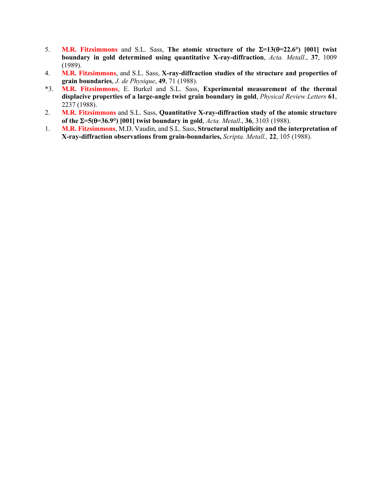- 5. **M.R. Fitzsimmons** and S.L. Sass, The atomic structure of the  $\Sigma = 13(0) = 22.6^{\circ}$  [001] twist **boundary in gold determined using quantitative X-ray-diffraction**, *Acta. Metall*., **37**, 1009 (1989).
- 4. **M.R. Fitzsimmons**, and S.L. Sass, **X-ray-diffraction studies of the structure and properties of grain boundaries**, *J. de Physique*, **49**, 71 (1988).
- \*3. **M.R. Fitzsimmons**, E. Burkel and S.L. Sass, **Experimental measurement of the thermal displacive properties of a large-angle twist grain boundary in gold**, *Physical Review Letters* **61**, 2237 (1988).
- 2. **M.R. Fitzsimmons** and S.L. Sass, **Quantitative X-ray-diffraction study of the atomic structure of the** S**=5(**q**=36.9°) [001] twist boundary in gold**, *Acta. Metall*., **36**, 3103 (1988).
- 1. **M.R. Fitzsimmons**, M.D. Vaudin, and S.L. Sass, **Structural multiplicity and the interpretation of X-ray-diffraction observations from grain-boundaries,** *Scripta. Metall.,* **22**, 105 (1988).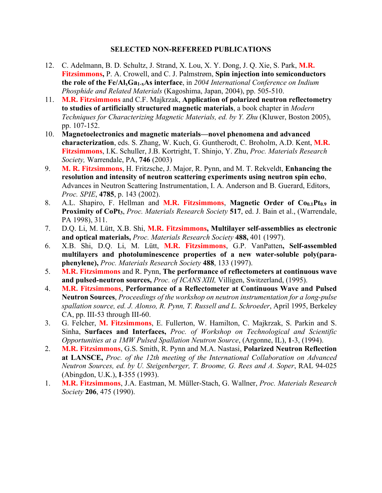### **SELECTED NON-REFEREED PUBLICATIONS**

- 12. C. Adelmann, B. D. Schultz, J. Strand, X. Lou, X. Y. Dong, J. Q. Xie, S. Park, **M.R. Fitzsimmons,** P. A. Crowell, and C. J. Palmstrøm, **Spin injection into semiconductors the role of the Fe/AlxGa1-xAs interface**, in *2004 International Conference on Indium Phosphide and Related Materials* (Kagoshima, Japan, 2004), pp. 505-510.
- 11. **M.R. Fitzsimmons** and C.F. Majkrzak, **Application of polarized neutron reflectometry to studies of artificially structured magnetic materials**, a book chapter in *Modern Techniques for Characterizing Magnetic Materials, ed. by Y. Zhu* (Kluwer, Boston 2005), pp. 107-152.
- 10. **Magnetoelectronics and magnetic materials—novel phenomena and advanced characterization**, eds. S. Zhang, W. Kuch, G. Guntherodt, C. Broholm, A.D. Kent, **M.R. Fitzsimmons**, I.K. Schuller, J.B. Kortright, T. Shinjo, Y. Zhu, *Proc. Materials Research Society,* Warrendale, PA, **746** (2003)
- 9. **M. R. Fitzsimmons**, H. Fritzsche, J. Major, R. Pynn, and M. T. Rekveldt, **Enhancing the resolution and intensity of neutron scattering experiments using neutron spin echo**, Advances in Neutron Scattering Instrumentation, I. A. Anderson and B. Guerard, Editors, *Proc. SPIE*, **4785**, p. 143 (2002).
- 8. A.L. Shapiro, F. Hellman and **M.R. Fitzsimmons**, Magnetic Order of Co<sub>0.1</sub>Pt<sub>0.9</sub> in **Proximity of CoPt3**, *Proc. Materials Research Society* **517**, ed. J. Bain et al., (Warrendale, PA 1998), 311.
- 7. D.Q. Li, M. Lütt, X.B. Shi, **M.R. Fitzsimmons, Multilayer self-assemblies as electronic and optical materials,** *Proc. Materials Research Society* **488,** 401 (1997).
- 6. X.B. Shi, D.Q. Li, M. Lütt, **M.R. Fitzsimmons**, G.P. VanPatten**, Self-assembled multilayers and photoluminescence properties of a new water-soluble poly(paraphenylene),** *Proc. Materials Research Society* **488**, 133 (1997).
- 5. **M.R. Fitzsimmons** and R. Pynn, **The performance of reflectometers at continuous wave and pulsed-neutron sources,** *Proc. of ICANS XIII,* Villigen, Switzerland, (1995).
- 4. **M.R. Fitzsimmons**, **Performance of a Reflectometer at Continuous Wave and Pulsed Neutron Sources**, *Proceedings of the workshop on neutron instrumentation for a long-pulse spallation source, ed. J. Alonso, R. Pynn, T. Russell and L. Schroeder*, April 1995, Berkeley CA, pp. III-53 through III-60.
- 3. G. Felcher, **M. Fitzsimmons**, E. Fullerton, W. Hamilton, C. Majkrzak, S. Parkin and S. Sinha, **Surfaces and Interfaces,** *Proc. of Workshop on Technological and Scientific Opportunities at a 1MW Pulsed Spallation Neutron Source*, (Argonne, IL), **1**-3, (1994).
- 2. **M.R. Fitzsimmons**, G.S. Smith, R. Pynn and M.A. Nastasi, **Polarized Neutron Reflection at LANSCE,** *Proc. of the 12th meeting of the International Collaboration on Advanced Neutron Sources, ed. by U. Steigenberger, T. Broome, G. Rees and A. Soper*, RAL 94-025 (Abingdon, U.K.), **I**-355 (1993).
- 1. **M.R. Fitzsimmons**, J.A. Eastman, M. Müller-Stach, G. Wallner, *Proc. Materials Research Society* **206**, 475 (1990).